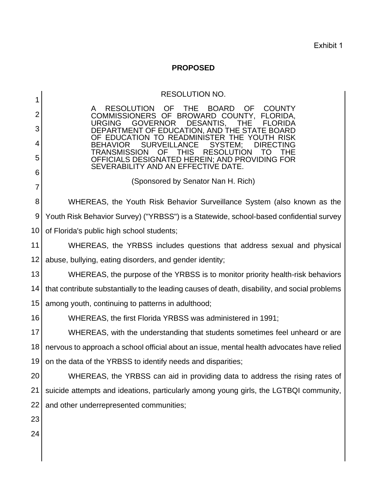Exhibit 1

## **PROPOSED**

| 1                | <b>RESOLUTION NO.</b>                                                                                                                                  |  |  |
|------------------|--------------------------------------------------------------------------------------------------------------------------------------------------------|--|--|
| 2                | <b>OF</b><br><b>THE</b><br><b>BOARD</b><br><b>OF</b><br><b>RESOLUTION</b><br><b>COUNTY</b>                                                             |  |  |
| 3                | <b>COMMISSIONERS</b><br>OF BROWARD COUNTY,<br>FLORIDA.<br><b>GOVERNOR</b><br>DESANTIS,<br><b>URGING</b><br>THE<br>FLORIDA                              |  |  |
|                  | DEPARTMENT OF EDUCATION, AND THE STATE BOARD<br>EDUCATION TO READMINISTER THE YOUTH RISK                                                               |  |  |
| 4                | <b>BEHAVIOR</b><br><b>SURVEILLANCE</b><br>SYSTEM;<br>DIRECTING<br><b>TRANSMISSION</b><br><b>RESOLUTION</b><br><b>OF</b><br>THIS<br>THE.<br>$\vert$ ( ) |  |  |
| 5                | OFFICIALS DESIGNATED HEREIN; AND PROVIDING FOR<br>SEVERABILITY AND AN EFFECTIVE DATE.                                                                  |  |  |
| 6                | (Sponsored by Senator Nan H. Rich)                                                                                                                     |  |  |
| 7                |                                                                                                                                                        |  |  |
| 8                | WHEREAS, the Youth Risk Behavior Surveillance System (also known as the                                                                                |  |  |
| $\boldsymbol{9}$ | Youth Risk Behavior Survey) ("YRBSS") is a Statewide, school-based confidential survey                                                                 |  |  |
| 10               | of Florida's public high school students;                                                                                                              |  |  |
| 11               | WHEREAS, the YRBSS includes questions that address sexual and physical                                                                                 |  |  |
| 12               | abuse, bullying, eating disorders, and gender identity;                                                                                                |  |  |
| 13               | WHEREAS, the purpose of the YRBSS is to monitor priority health-risk behaviors                                                                         |  |  |
| 14               | that contribute substantially to the leading causes of death, disability, and social problems                                                          |  |  |
| 15               | among youth, continuing to patterns in adulthood;                                                                                                      |  |  |
| 16               | WHEREAS, the first Florida YRBSS was administered in 1991;                                                                                             |  |  |
| 17               | WHEREAS, with the understanding that students sometimes feel unheard or are                                                                            |  |  |
| 18               | nervous to approach a school official about an issue, mental health advocates have relied                                                              |  |  |
| 19               | on the data of the YRBSS to identify needs and disparities;                                                                                            |  |  |
| 20               | WHEREAS, the YRBSS can aid in providing data to address the rising rates of                                                                            |  |  |
| 21               | suicide attempts and ideations, particularly among young girls, the LGTBQI community,                                                                  |  |  |
| 22               | and other underrepresented communities;                                                                                                                |  |  |
| 23               |                                                                                                                                                        |  |  |
| 24               |                                                                                                                                                        |  |  |
|                  |                                                                                                                                                        |  |  |
|                  |                                                                                                                                                        |  |  |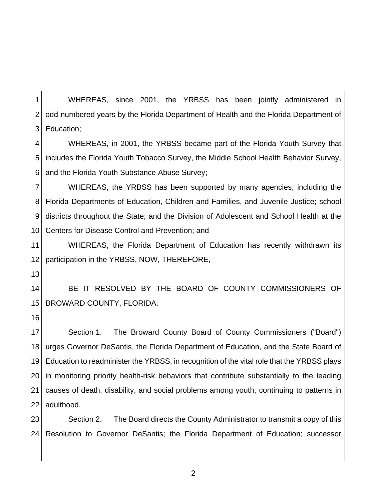1 2 3 WHEREAS, since 2001, the YRBSS has been jointly administered in odd-numbered years by the Florida Department of Health and the Florida Department of Education;

4 5 6 WHEREAS, in 2001, the YRBSS became part of the Florida Youth Survey that includes the Florida Youth Tobacco Survey, the Middle School Health Behavior Survey, and the Florida Youth Substance Abuse Survey;

7 8 9 10 WHEREAS, the YRBSS has been supported by many agencies, including the Florida Departments of Education, Children and Families, and Juvenile Justice; school districts throughout the State; and the Division of Adolescent and School Health at the Centers for Disease Control and Prevention; and

11 12 WHEREAS, the Florida Department of Education has recently withdrawn its participation in the YRBSS, NOW, THEREFORE,

13

14 15 BE IT RESOLVED BY THE BOARD OF COUNTY COMMISSIONERS OF BROWARD COUNTY, FLORIDA:

16

17 18 19 20 21 22 Section 1. The Broward County Board of County Commissioners ("Board") urges Governor DeSantis, the Florida Department of Education, and the State Board of Education to readminister the YRBSS, in recognition of the vital role that the YRBSS plays in monitoring priority health-risk behaviors that contribute substantially to the leading causes of death, disability, and social problems among youth, continuing to patterns in adulthood.

23  $24<sub>1</sub>$ Section 2. The Board directs the County Administrator to transmit a copy of this Resolution to Governor DeSantis; the Florida Department of Education; successor

2